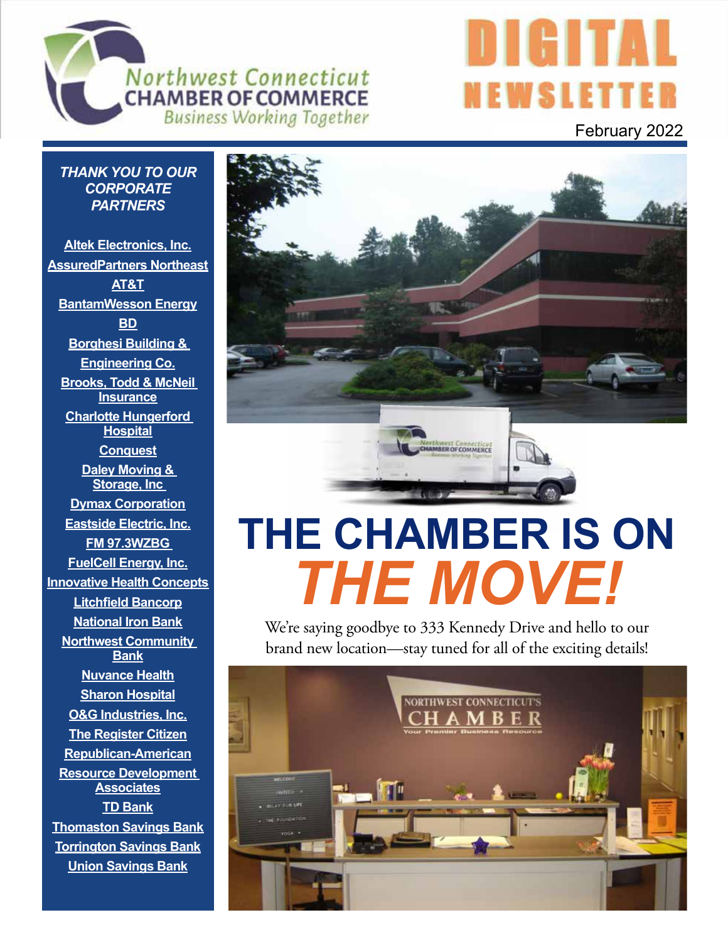



*THANK YOU TO OUR CORPORATE PARTNERS*

**Altek Electronics, Inc. AssuredPartners Northeast AT&T BantamWesson Energy BD Borghesi Building & Engineering Co. Brooks, Todd & McNeil Insurance Charlotte Hungerford Hospital Conquest Daley Moving & Storage, Inc Dymax Corporation Eastside Electric, Inc. FM 97.3WZBG FuelCell Energy, Inc. Innovative Health Concepts Litchfield Bancorp National Iron Bank Northwest Community Bank Nuvance Health Sharon Hospital O&G Industries, Inc. The Register Citizen Republican-American Resource Development Associates TD Bank Thomaston Savings Bank Torrington Savings Bank Union Savings Bank**



# **THE CHAMBER IS ON**  *THE MOVE!*

We're saying goodbye to 333 Kennedy Drive and hello to our brand new location—stay tuned for all of the exciting details!

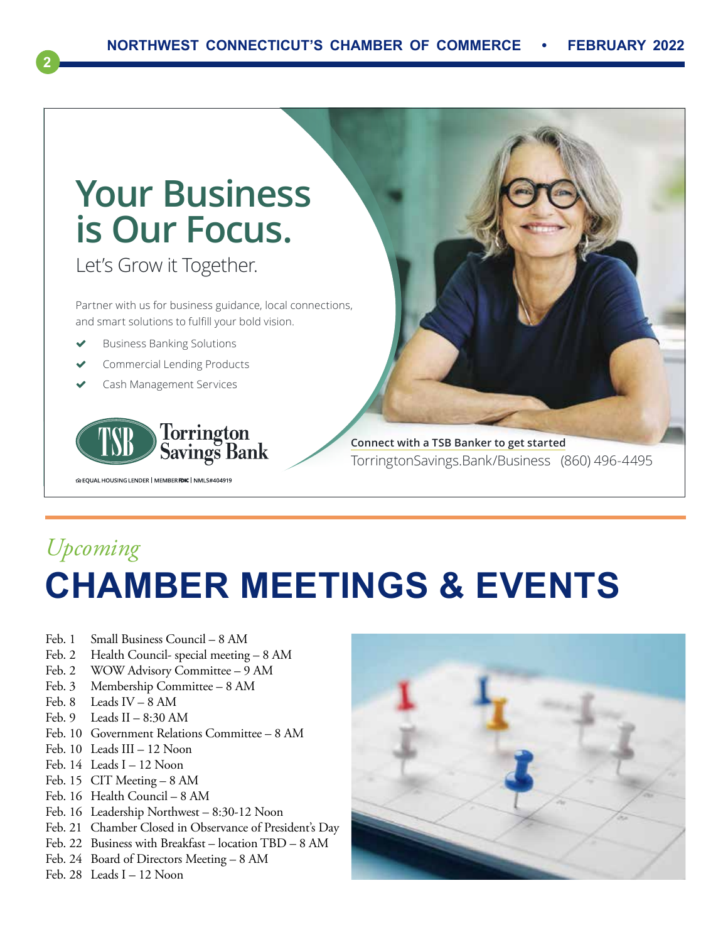

# *Upcoming* **CHAMBER MEETINGS & EVENTS**

- Feb. 1 Small Business Council 8 AM
- Feb. 2 Health Council- special meeting 8 AM
- Feb. 2 WOW Advisory Committee 9 AM
- Feb. 3 Membership Committee 8 AM
- Feb. 8 Leads IV 8 AM

**2**

- Feb. 9 Leads II  $8:30$  AM
- Feb. 10 Government Relations Committee 8 AM
- Feb. 10 Leads III 12 Noon
- Feb. 14 Leads I 12 Noon
- Feb. 15 CIT Meeting 8 AM
- Feb. 16 Health Council 8 AM
- Feb. 16 Leadership Northwest 8:30-12 Noon
- Feb. 21 Chamber Closed in Observance of President's Day
- Feb. 22 Business with Breakfast location TBD 8 AM
- Feb. 24 Board of Directors Meeting 8 AM
- Feb. 28 Leads I 12 Noon

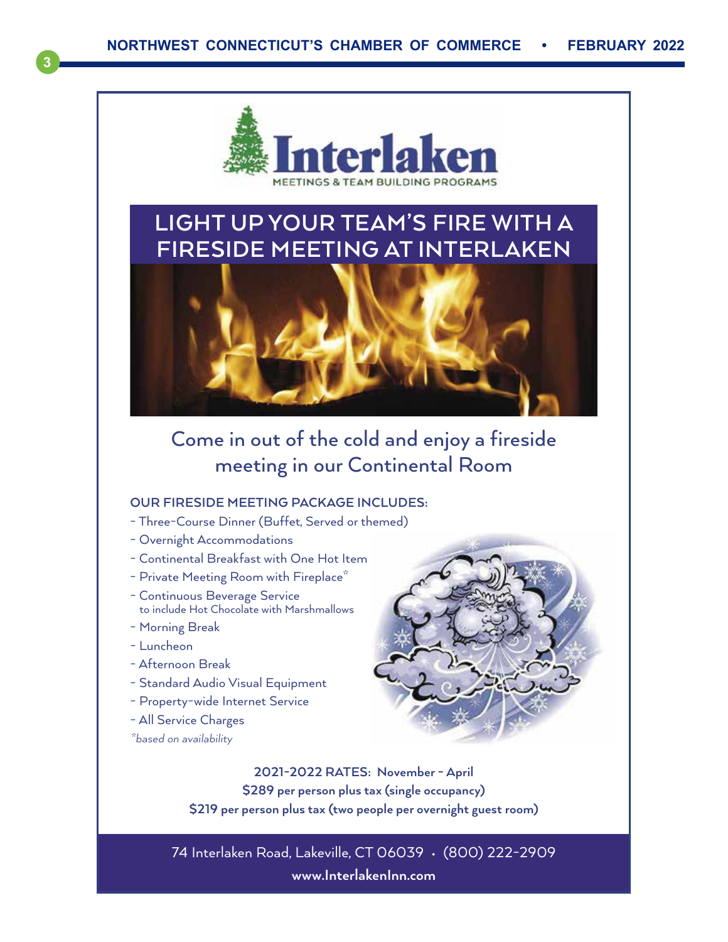

### **LIGHT UP YOUR TEAM'S FIRE WITH A FIRESIDE MEETING AT INTERLAKEN**



### Come in out of the cold and enjoy a fireside meeting in our Continental Room

#### **OUR FIRESIDE MEETING PACKAGE INCLUDES:**

- Three-Course Dinner (Buffet, Served or themed)
- Overnight Accommodations
- Continental Breakfast with One Hot Item
- Private Meeting Room with Fireplace<sup>\*</sup>
- Continuous Beverage Service to include Hot Chocolate with Marshmallows
- Morning Break
- Luncheon

**3**

- Afternoon Break
- Standard Audio Visual Equipment
- Property-wide Internet Service
- All Service Charges
- *\*based on availability*



**2021-2022 RATES: November - April \$289 per person plus tax (single occupancy) \$219 per person plus tax (two people per overnight guest room)**

74 Interlaken Road, Lakeville, CT 06039 • (800) 222-2909 **www.InterlakenInn.com**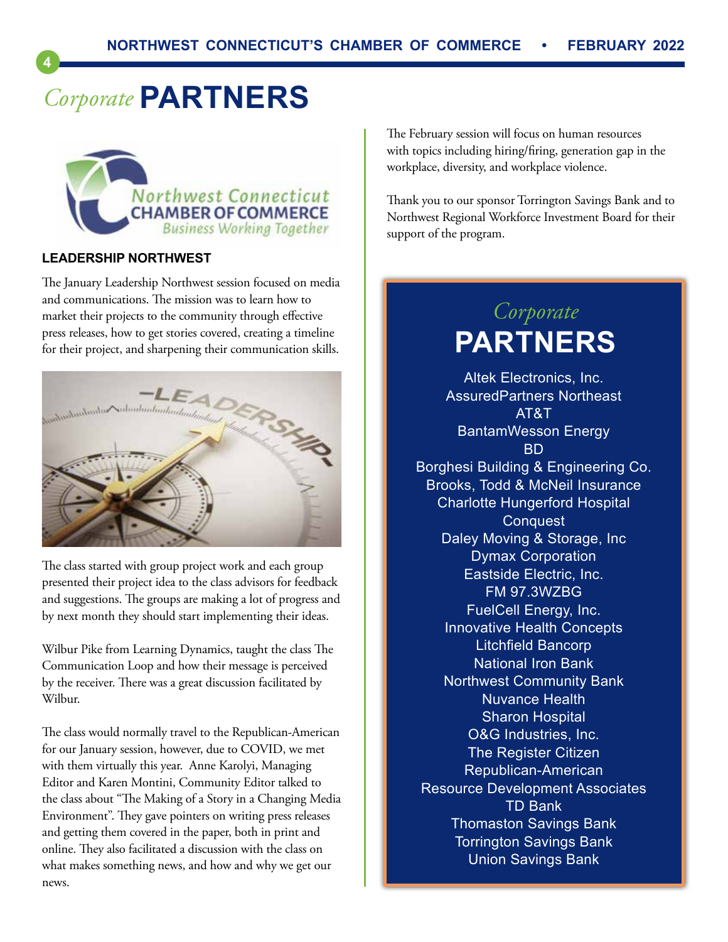# *Corporate* **PARTNERS**



#### **LEADERSHIP NORTHWEST**

**4**

The January Leadership Northwest session focused on media and communications. The mission was to learn how to market their projects to the community through effective press releases, how to get stories covered, creating a timeline for their project, and sharpening their communication skills.



The class started with group project work and each group presented their project idea to the class advisors for feedback and suggestions. The groups are making a lot of progress and by next month they should start implementing their ideas.

Wilbur Pike from Learning Dynamics, taught the class The Communication Loop and how their message is perceived by the receiver. There was a great discussion facilitated by Wilbur.

The class would normally travel to the Republican-American for our January session, however, due to COVID, we met with them virtually this year. Anne Karolyi, Managing Editor and Karen Montini, Community Editor talked to the class about "The Making of a Story in a Changing Media Environment". They gave pointers on writing press releases and getting them covered in the paper, both in print and online. They also facilitated a discussion with the class on what makes something news, and how and why we get our news.

The February session will focus on human resources with topics including hiring/firing, generation gap in the workplace, diversity, and workplace violence.

Thank you to our sponsor Torrington Savings Bank and to Northwest Regional Workforce Investment Board for their support of the program.

### *Corporate* **PARTNERS**

Altek Electronics, Inc. AssuredPartners Northeast AT&T BantamWesson Energy BD Borghesi Building & Engineering Co. Brooks, Todd & McNeil Insurance Charlotte Hungerford Hospital **Conquest** Daley Moving & Storage, Inc Dymax Corporation Eastside Electric, Inc. FM 97.3WZBG FuelCell Energy, Inc. Innovative Health Concepts Litchfield Bancorp National Iron Bank Northwest Community Bank Nuvance Health Sharon Hospital O&G Industries, Inc. The Register Citizen Republican-American Resource Development Associates TD Bank Thomaston Savings Bank Torrington Savings Bank Union Savings Bank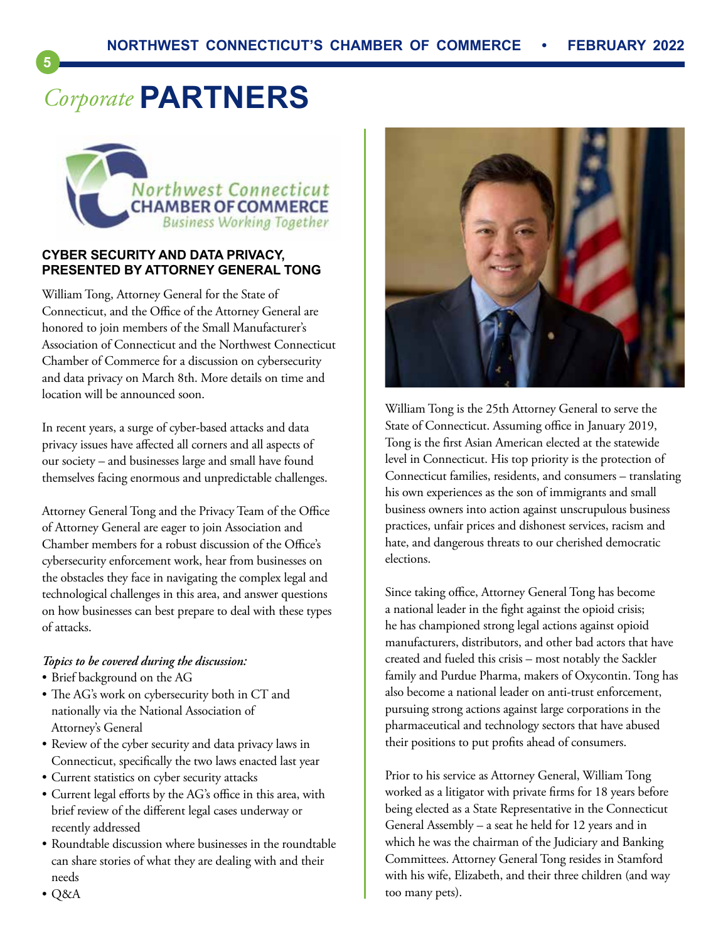# *Corporate* **PARTNERS**

**5**



#### **CYBER SECURITY AND DATA PRIVACY, PRESENTED BY ATTORNEY GENERAL TONG**

William Tong, Attorney General for the State of Connecticut, and the Office of the Attorney General are honored to join members of the Small Manufacturer's Association of Connecticut and the Northwest Connecticut Chamber of Commerce for a discussion on cybersecurity and data privacy on March 8th. More details on time and location will be announced soon.

In recent years, a surge of cyber-based attacks and data privacy issues have affected all corners and all aspects of our society – and businesses large and small have found themselves facing enormous and unpredictable challenges.

Attorney General Tong and the Privacy Team of the Office of Attorney General are eager to join Association and Chamber members for a robust discussion of the Office's cybersecurity enforcement work, hear from businesses on the obstacles they face in navigating the complex legal and technological challenges in this area, and answer questions on how businesses can best prepare to deal with these types of attacks.

#### *Topics to be covered during the discussion:*

- Brief background on the AG
- The AG's work on cybersecurity both in CT and nationally via the National Association of Attorney's General
- Review of the cyber security and data privacy laws in Connecticut, specifically the two laws enacted last year
- Current statistics on cyber security attacks
- Current legal efforts by the AG's office in this area, with brief review of the different legal cases underway or recently addressed
- Roundtable discussion where businesses in the roundtable can share stories of what they are dealing with and their needs



William Tong is the 25th Attorney General to serve the State of Connecticut. Assuming office in January 2019, Tong is the first Asian American elected at the statewide level in Connecticut. His top priority is the protection of Connecticut families, residents, and consumers – translating his own experiences as the son of immigrants and small business owners into action against unscrupulous business practices, unfair prices and dishonest services, racism and hate, and dangerous threats to our cherished democratic elections.

Since taking office, Attorney General Tong has become a national leader in the fight against the opioid crisis; he has championed strong legal actions against opioid manufacturers, distributors, and other bad actors that have created and fueled this crisis – most notably the Sackler family and Purdue Pharma, makers of Oxycontin. Tong has also become a national leader on anti-trust enforcement, pursuing strong actions against large corporations in the pharmaceutical and technology sectors that have abused their positions to put profits ahead of consumers.

Prior to his service as Attorney General, William Tong worked as a litigator with private firms for 18 years before being elected as a State Representative in the Connecticut General Assembly – a seat he held for 12 years and in which he was the chairman of the Judiciary and Banking Committees. Attorney General Tong resides in Stamford with his wife, Elizabeth, and their three children (and way too many pets).

• Q&A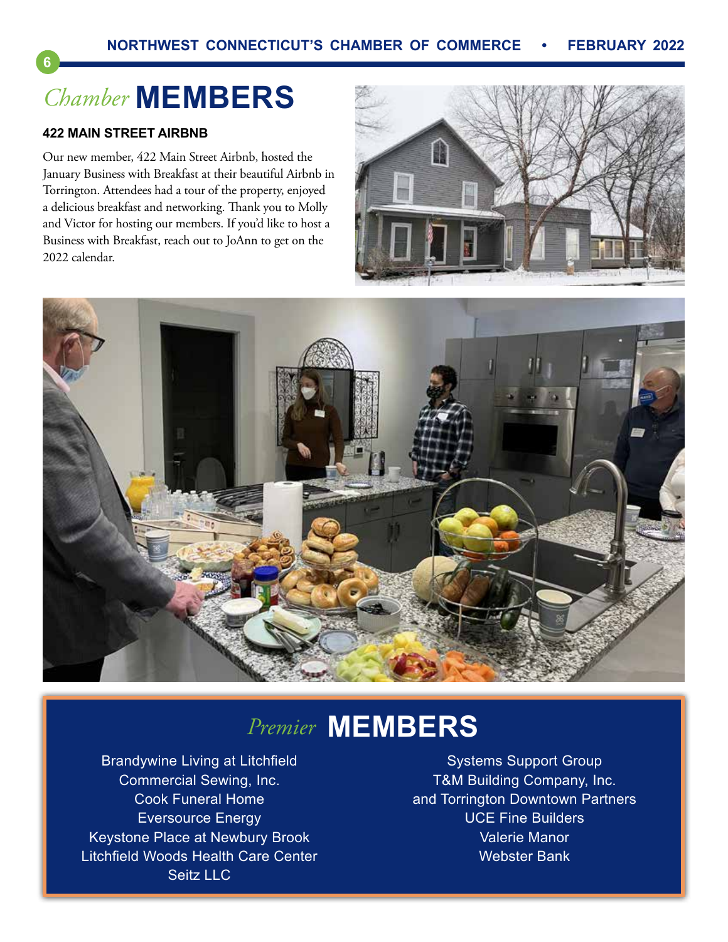# *Chamber* **MEMBERS**

#### **422 MAIN STREET AIRBNB**

**6**

Our new member, 422 Main Street Airbnb, hosted the January Business with Breakfast at their beautiful Airbnb in Torrington. Attendees had a tour of the property, enjoyed a delicious breakfast and networking. Thank you to Molly and Victor for hosting our members. If you'd like to host a Business with Breakfast, reach out to JoAnn to get on the 2022 calendar.





## *Premier* **MEMBERS**

Brandywine Living at Litchfield Commercial Sewing, Inc. Cook Funeral Home Eversource Energy Keystone Place at Newbury Brook Litchfield Woods Health Care Center Seitz LLC

Systems Support Group T&M Building Company, Inc. and Torrington Downtown Partners UCE Fine Builders Valerie Manor Webster Bank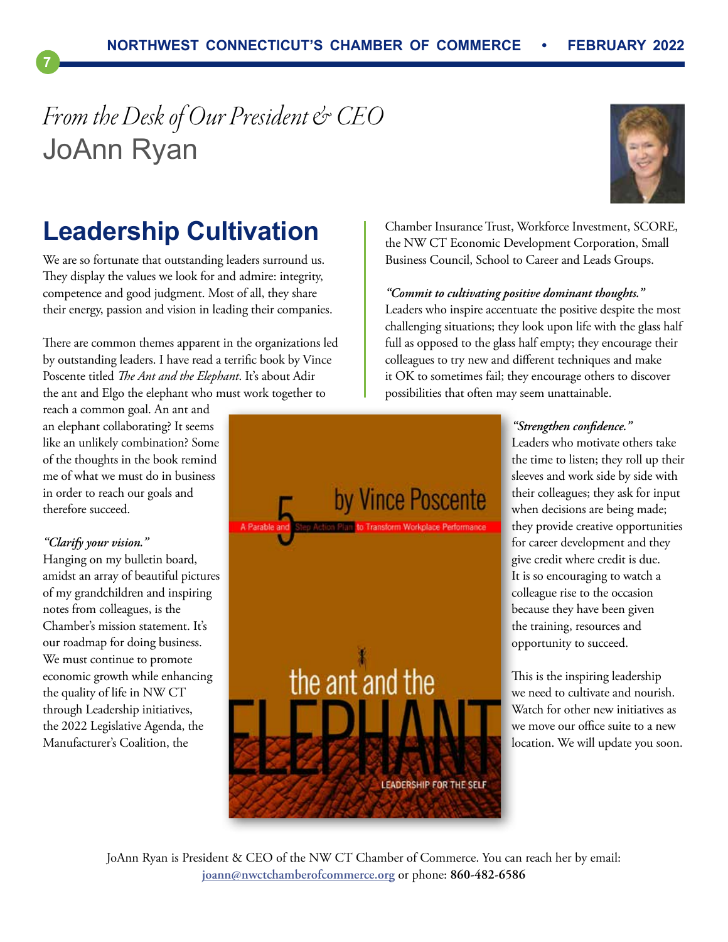# *From the Desk of Our President & CEO* JoAnn Ryan



### **Leadership Cultivation**

We are so fortunate that outstanding leaders surround us. They display the values we look for and admire: integrity, competence and good judgment. Most of all, they share their energy, passion and vision in leading their companies.

There are common themes apparent in the organizations led by outstanding leaders. I have read a terrific book by Vince Poscente titled *The Ant and the Elephant*. It's about Adir the ant and Elgo the elephant who must work together to

reach a common goal. An ant and an elephant collaborating? It seems like an unlikely combination? Some of the thoughts in the book remind me of what we must do in business in order to reach our goals and therefore succeed.

#### *"Clarify your vision."*

**7**

Hanging on my bulletin board, amidst an array of beautiful pictures of my grandchildren and inspiring notes from colleagues, is the Chamber's mission statement. It's our roadmap for doing business. We must continue to promote economic growth while enhancing the quality of life in NW CT through Leadership initiatives, the 2022 Legislative Agenda, the Manufacturer's Coalition, the

the NW CT Economic Development Corporation, Small Business Council, School to Career and Leads Groups.

Chamber Insurance Trust, Workforce Investment, SCORE,

#### *"Commit to cultivating positive dominant thoughts."*

Leaders who inspire accentuate the positive despite the most challenging situations; they look upon life with the glass half full as opposed to the glass half empty; they encourage their colleagues to try new and different techniques and make it OK to sometimes fail; they encourage others to discover possibilities that often may seem unattainable.

#### *"Strengthen confidence."*

Leaders who motivate others take the time to listen; they roll up their sleeves and work side by side with their colleagues; they ask for input when decisions are being made; they provide creative opportunities for career development and they give credit where credit is due. It is so encouraging to watch a colleague rise to the occasion because they have been given the training, resources and opportunity to succeed.

This is the inspiring leadership we need to cultivate and nourish. Watch for other new initiatives as we move our office suite to a new location. We will update you soon.



JoAnn Ryan is President & CEO of the NW CT Chamber of Commerce. You can reach her by email: **[joann@nwctchamberofcommerce.org](mailto:joann%40nwctchamberofcommerce.org?subject=)** or phone: **860-482-6586**